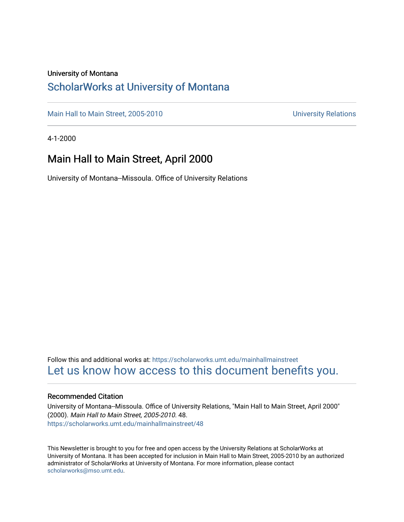### University of Montana

### [ScholarWorks at University of Montana](https://scholarworks.umt.edu/)

[Main Hall to Main Street, 2005-2010](https://scholarworks.umt.edu/mainhallmainstreet) Main Hall to Main Street, 2005-2010

4-1-2000

### Main Hall to Main Street, April 2000

University of Montana--Missoula. Office of University Relations

Follow this and additional works at: [https://scholarworks.umt.edu/mainhallmainstreet](https://scholarworks.umt.edu/mainhallmainstreet?utm_source=scholarworks.umt.edu%2Fmainhallmainstreet%2F48&utm_medium=PDF&utm_campaign=PDFCoverPages) [Let us know how access to this document benefits you.](https://goo.gl/forms/s2rGfXOLzz71qgsB2) 

### Recommended Citation

University of Montana--Missoula. Office of University Relations, "Main Hall to Main Street, April 2000" (2000). Main Hall to Main Street, 2005-2010. 48. [https://scholarworks.umt.edu/mainhallmainstreet/48](https://scholarworks.umt.edu/mainhallmainstreet/48?utm_source=scholarworks.umt.edu%2Fmainhallmainstreet%2F48&utm_medium=PDF&utm_campaign=PDFCoverPages) 

This Newsletter is brought to you for free and open access by the University Relations at ScholarWorks at University of Montana. It has been accepted for inclusion in Main Hall to Main Street, 2005-2010 by an authorized administrator of ScholarWorks at University of Montana. For more information, please contact [scholarworks@mso.umt.edu.](mailto:scholarworks@mso.umt.edu)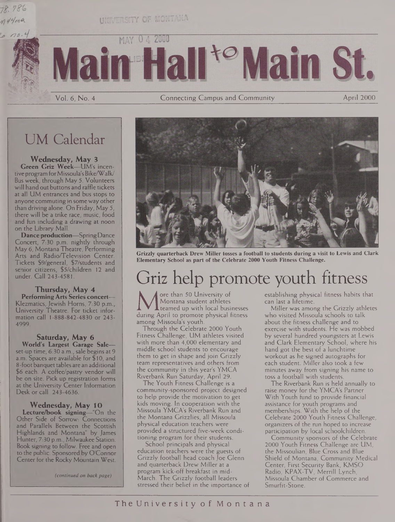# $n$ 44 $m$ a

 $\Omega$ .



Vol. 6, No. 4 Connecting Campus and Community April 2000

## UM Calendar

### **Wednesday, May 3**

**Green Griz Week—**UM's incentive program for Missoula's Bike/Walk/ Bus week, through May 5. Volunteers will hand out buttons and raffle tickets at all UM entrances and bus stops to anyone commuting in some way other than driving alone. On Friday, May 5, there will be a trike race, music, food and fun including a drawing at noon on the Library Mall.

**Dance production—**SpringDance Concert, 7:30 p.m. nightly through May 6, Montana Theatre, Performing Arts and Radio/Television Center. Tickets \$9/general, \$7/students and senior citizens, \$5/children 12 and under. Call 243-4581.

#### **Thursday, May 4 Performing Arts Series concert—**

Klezmatics, Jewish Homs, 7:30 p.m., University Theatre. For ticket information call 1-888-842-4830 or 243- 4999.

### **Saturday, May 6**

**World's Largest Garage Sale** set-up time, 6:30 a.m., sale begins at 9 a.m. Spaces are available for \$10, and 8-foot banquet tables are an additional \$6 each. A coffee/pastry vendor will be on site. Pick up registration forms at the University Center Information Desk or call 243-4636.

### **Wednesday, May 10**

**Lecture/book signing—**"On the Other Side of Sorrow: Connections and Parallels Between the Scottish Highlands and Montana" by James Hunter, 7:30 p.m., Milwaukee Station. Book signing to follow. Free and open to the public. Sponsored by O'Connor Center for the Rocky Mountain West.

*(continued on back page)*



**Grizzly quarterback Drew Miller tosses a football to students during a visit to Lewis and Clark Elementary School as part of the Celebrate 2000 Youth Fitness Challenge.**

# Griz help promote youth fitness

**MU** Montana student athletes can be the teamed up with local businesses during April to promote physical fitness when an absolution of the shape of the shape of the shape of the shape of the shape of the shape of the shap ore than 50 University of Montana student athletes **I** teamed up with local businesses among Missoula's youth.

Through the Celebrate 2000 Youth Fitness Challenge, UM athletes visited with more than 4,000 elementary and middle school students to encourage them to get in shape and join Grizzly team representatives and others from the community in this year's YMCA Riverbank Run Saturday, April 29.

The Youth Fitness Challenge is a community-sponsored project designed to help provide the motivation to get kids moving. In cooperation with the Missoula YMCA's Riverbank Run and the Montana Grizzlies, all Missoula physical education teachers were provided a structured five-week conditioning program for their students.

School principals and physical education teachers were the guests of Grizzly football head coach Joe Glenn and quarterback Drew Miller at a program kick-off breakfast in mid-March. The Grizzly football leaders stressed their belief in the importance of establishing physical fitness habits that can last a lifetime.

Miller was among the Grizzly athletes who visited Missoula schools to talk about the fitness challenge and to exercise with students. He was mobbed by several hundred youngsters at Lewis and Clark Elementary School, where his hand got the best of a lunchtime workout as he signed autographs for each student. Miller also took a few minutes away from signing his name to toss a football with students.

The Riverbank Run is held annually to raise money for the YMCA's Partner With Youth fund to provide financial assistance for youth programs and memberships. With the help of the Celebrate 2000 Youth Fitness Challenge, organizers of the run hoped to increase participation by local schoolchildren.

Community sponsors of the Celebrate 2000 Youth Fitness Challenge are UM, the Missoulian, Blue Cross and Blue Shield of Montana, Community Medical Center, First Security Bank, KMSO Radio, KPAX-TV, Merrill Lynch, Missoula Chamber of Commerce and Smurfit-Stone.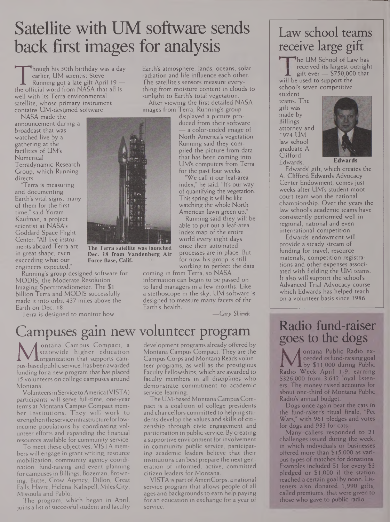# Satellite with UM software sends back first images for analysis

Though This 30th Britialy was a day<br>
earlier, UM scientist Steve<br>
Running got a late gift April 19<br>
the official word from NASA that all is<br>
well with its Terra environmental hough his 50th birthday was a day earlier, UM scientist Steve Running got a late gift April 19 well with its Terra environmental satellite, whose primary instrument contains UM-designed software.

NASA made the announcement during a broadcast that was watched live by a gathering at the facilities of UM's Numerical Terradynamic Research Group, which Running directs.

'Terra is measuring and documenting Earth's vital signs, many of them for the first time," said Yoram Kaufman, a project scientist at NASA's Goddard Space Flight Center. "All five instruments aboard Terra are in great shape, even exceeding what our engineers expected."

Running's group designed software for MODIS, the Moderate Resolution Imaging Spectroradiometer. The \$1 billion Terra and MODIS successfully made it into orbit 437 miles above the Earth on Dec. 18.

Terra is designed to monitor how

Earth's atmosphere, lands, oceans, solar radiation and life influence each other. The satellite's sensors measure everything from moisture content in clouds to sunlight to Earth's total vegetation.

After viewing the first detailed NASA images from Terra, Running's group

displayed a picture produced from their software a color-coded image of North America's vegetation. Running said they compiled the picture from data that has been coming into UM's computers from Terra for the past four weeks.

We call it our leaf-area index," he said. "It's our way of quantifying the vegetation. This spring it will be like watching the whole North American lawn green up."

Running said they will be able to put out a leaf-area index map of the entire world every eight days once their automated processes are in place. But for now his group is still working to perfect the data

coming in from Terra, so NASA information can begin to be passed on to land managers in a few months. Like a stethoscope in the sky, UM software is designed to measure many facets of the Earth's health.

*—Cary Shimek*

## Campuses gain new volunteer program

Metatewide higher education Monday<br>pus-based public service, has been awarded teen<br>funding for a new program that has placed Fact ontana Campus Compact, a statewide higher education **L**organization that supports camfunding for a new program that has placed 15 volunteers on college campuses around Montana.

Volunteersin Service toAmerica (VISTA) participants will serve full-time, one-year terms at Montana Campus Compact member institutions. They will work to strengthen theservice infrastructure forlowincome populations by coordinating volunteer efforts and expanding the financial resources available for community service.

To meet these objectives, VISTA members will engage in grant writing, resource mobilization, community agency coordination, fund-raising and event planning for campuses in Billings, Bozeman, Browning, Butte, Grow Agency, Dillon, Great Falls, Havre, Helena, Kalispell, Miles City, Missoula and Pablo.

The program, which began in April, joins a list of successful student and faculty development programs already offered by Montana Campus Compact. They are the Campus Corps and Montana Reads volunteer programs, as well as the prestigious Faculty Fellowships, which are awarded to faculty members in all disciplines who demonstrate commitment to academic service learning.

The UM-based Montana Campus Compact is a coalition of college presidents and chancellors committed to helping students develop the values and skills of citizenship through civic engagement and participation in public service. By creating a supportive environment for involvement in community public service, participating academic leaders believe that their institutions can best prepare the next generation of informed, active, committed citizen leaders for Montana.

VISTA is part of AmeriCorps, a national service program that allows people of all ages and backgrounds to earn help paying for an education in exchange for a year of service.

## Law school teams receive large gift

**The UM School of Law has** received its largest outright gift ever — \$750,000 that will be used to support the school's seven competitive

student teams. The gift was made by Billings attorney and 1974 UM law school graduate A. Clifford Edwards.



**Edwards**

Edwards' gift, which creates the A. Clifford Edwards Advocacy Center Endowment, comes just weeks after UM's student moot court team won the national championship. Over the years the law school's academic teams have consistently performed well in regional, national and even international competition.

Edwards' endowment will provide a steady stream of funding for travel, resource materials, competition registrations and other expenses associated with fielding the UM teams. It also will support the school's Advanced Trial Advocacy course, which Edwards has helped teach on a volunteer basis since 1986.

### Radio fund-raiser goes to the dogs

**k J** ontana Public Radio ex- **/I** eeededitsfund-raisinggoal Lby \$11,000 during Public Radio Week April 1-9, earning \$326,000 from 3,642 loyal listeners. The money raised accounts for about one-third of Montana Public Radio's annual budget

Dogs once again beat the cats in the fund-raiser's ritual finale, "Pet Wars," with 961 pledges and votes for dogs and 933 for cats

Many callers responded to 21 challenges issued during the week, in which individuals or businesses offered more than \$ 15,000 as various types of matches for donations. Examples included \$1 for every \$3 pledged or \$1,000 if the station reached a certain goal by noon. Listeners also donated 1,990 gifts, called premiums, that were given to those who gave to public radio.



**The Terra satellite was launched Dec. 18 from Vandenberg Air Force Base, Calif.**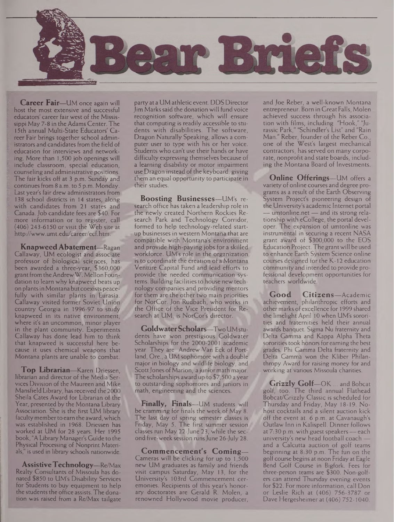

**Career Fair—**UM once again will host the most extensive and successful educators' career fair west of the Mississippi May 7-8 in the Adams Center. The 15th annual Multi-State Educators' Career Fair brings together school administrators and candidates from the field of education for interviews and networking. More than 1,500 job openings will include classroom, special education, counseling and administrative positions. The fair kicks off at 3 p.m. Sunday and continuesfrom 8 a.m. to 5 p.m. Monday. Last year's fair drew administrators from 138 school districts in 14 states, along with candidates from 21 states and Canada. Job candidate fees are \$40. For more information or to register, call (406) 243-6150 or visit the Web site at <http://www.umt.edu/career/ecf.htm>.

**Knapweed Abatement**—Ragan<br>Callaway, UM ecologist and associate **KnapweedAbatement—**Ragan professor of biological sciences, has been awarded a three-year, \$360,000 grant from the Andrew W. Mellon Foundation to learn why knapweed beats up on plantsin Montana but coexists peacefully with similar plants in Eurasia. Callaway visited former Soviet Union country Georgia in 1996-97 to study knapweed in its native environment, where it's an uncommon, minor player in the plant community. Experiments Callaway has done lead him to think that knapweed is successful here because it uses chemical weapons that Montana plants are unable to combat.

**Top Librarian—**Karen Driessen, librarian and director of the Media Services Division of the Maureen and Mike Mansfield Library, hasreceived the 2000 Sheila Cates Award for Librarian of the Year, presented by the Montana Library Association. She is the first UM library faculty member to earn the award, which was established in 1968. Driessen has worked at UM for 28 years. Her 1995 book, "A Library Manager's Guide to the Physical Processing of Nonprint Materials," is used in library schools nationwide.

**AssistiveTechnology—**Re/Max Realty Consultants of Missoula has donated \$850 to UM's Disability Services for Students to buy equipment to help the students the office assists. The donation was raised from a Re/Max tailgate

partyat a UM athletic event. DDS Director Jim Markssaid the donation will fundvoice recognition software, which will ensure that computing is readily accessible to students with disabilities. The software, Dragon Naturally Speaking, allows a computer user to type with his or her voice. Students who can't use their hands or have difficulty expressing themselves because of a learning disability or motor impairment use Dragon instead of the keyboard, giving them an equal opportunity to participate in their studies.

**Boosting Businesses—**UM's research office has taken a leadership role in the newly created Northern Rockies Research Park and Technology Corridor, formed to help technology-related startup businesses in western Montana that are compatible with Montana's environment and provide high-paying jobs for a skilled workforce. UM's role in the organization is to coordinate the creation of a Montana Venture Capital Fund and lead efforts to provide the needed communication systems. Building facilities to house new technology companies and providing mentors for them are the other two main priorities for NorCor. Jon Rudbach, who works in the Office of the Vice President for Research at UM, is NorCor's director.

**GoldwaterScholars—**Two UMstudents have won prestigious Goldwater Scholarships for the 2000-2001 academic year. They are Andrew Van Eck of Portland, Ore., a UM sophomore with a double major in biology and wildlife biology, and Scott Jones of Marion, a junior math major. The scholarships award up to \$7,500 a year to outstanding sophomores and juniors in math, engineering and the sciences.

**Finally, Finals—**UM students will be cramming for finals the week of May 8. The last day of spring semester classes is Friday, May 5. The first summer session classes run May 22-June 23, while the second five-week session runsJune 26-July 28.

**Commencement's Coming—** Cameras will be clicking for up to 1,500 new UM graduates as family and friends visit campus Saturday, May 13, for the University's 103rd Commencement ceremonies. Recipients of this year's honorary doctorates are Gerald R. Molen, a renowned Hollywood movie producer, and Joe Reber, a well-known Montana entrepreneur. Born in GreatFalls, Molen achieved success through his association with films, including "Hook," "Jurassic Park," "Schindler's List" and "Rain Man." Reber, founder of the Reber Co., one of the West's largest mechanical contractors, has served on many corporate, nonprofit and state boards, including the Montana Board of Investments.

**Online Offerings**—UM offers a variety of online courses and degree programs as a result of the Earth Observing System Project's pioneering design of the University's academic Internet portal — <umtonline.net>— and its strong relationship with eCollege, the portal developer. The expansion of umtonline was instrumental in securing a recent NASA grant award of \$300,000 to the EOS Education Project. The grant will be used to enhance Earth System Science online courses designed for the K-12 education community and intended to provide professional development opportunities for teachers worldwide.

**Good Citizens—**Academic achievement, philanthropic efforts and other marks of excellence for 1999 shared the limelight April 10 when UM's sororities and fraternities held their annual awards banquet. Sigma Nu fraternity and Delta Gamma and Kappa Alpha Theta sororities took honors for earning the best grades. Phi Gamma Delta fraternity and Delta Gamma won the Kliber Philanthropy Award for raising money for and working at various Missoula charities.

**Grizzly Golf—**OK ... and Bobcat golf, too. The third annual Flathead Bobcat/Grizzly Classic is scheduled for Thursday and Friday, May 18-19. Nohost cocktails and a silent auction kick off the event at 6 p.m. at Cavanaugh's Outlaw Inn in Kalispell. Dinner follows at  $7:30$  p.m. with guest speakers — each university's new head football coach and a Calcutta auction of golf teams beginning at 8:30 p.m. The fun on the golf course begins at noon Friday at Eagle Bend Golf Course in Bigfork. Fees for three-person teams are \$300. Non-golfers can attend Thursday evening events for \$22. For more information, call Don or Leslie Rich at (406) 756-3787 or Dave Hergesheimer at (406) 752-1040.